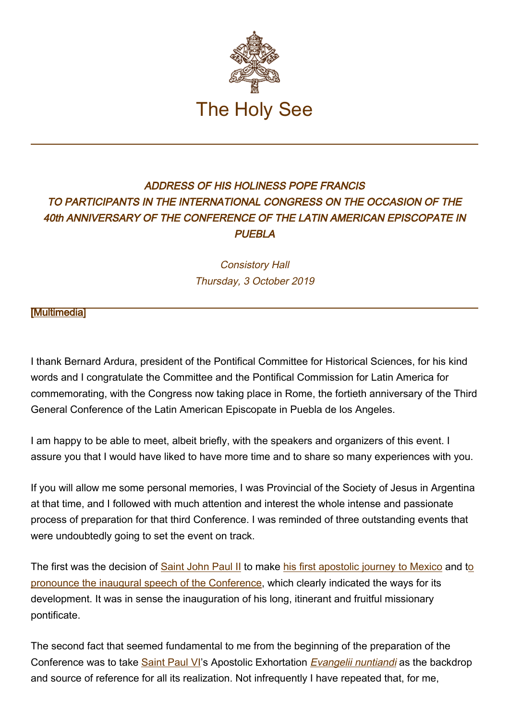

## ADDRESS OF HIS HOLINESS POPE FRANCIS TO PARTICIPANTS IN THE INTERNATIONAL CONGRESS ON THE OCCASION OF THE 40th ANNIVERSARY OF THE CONFERENCE OF THE LATIN AMERICAN EPISCOPATE IN **PUEBLA**

Consistory Hall Thursday, 3 October 2019

[\[Multimedia](http://w2.vatican.va/content/francesco/en/events/event.dir.html/content/vaticanevents/en/2019/10/3/celam.html)]

I thank Bernard Ardura, president of the Pontifical Committee for Historical Sciences, for his kind words and I congratulate the Committee and the Pontifical Commission for Latin America for commemorating, with the Congress now taking place in Rome, the fortieth anniversary of the Third General Conference of the Latin American Episcopate in Puebla de los Angeles.

I am happy to be able to meet, albeit briefly, with the speakers and organizers of this event. I assure you that I would have liked to have more time and to share so many experiences with you.

If you will allow me some personal memories, I was Provincial of the Society of Jesus in Argentina at that time, and I followed with much attention and interest the whole intense and passionate process of preparation for that third Conference. I was reminded of three outstanding events that were undoubtedly going to set the event on track.

The first was the decision of [Saint John Paul II](http://w2.vatican.va/content/john-paul-ii/en.html) to make [his first apostolic journey to Mexico](http://w2.vatican.va/content/john-paul-ii/en/travels/1979/travels/documents/trav_rep-dom-mexico-bahamas.html) and [to](http://w2.vatican.va/content/john-paul-ii/en/speeches/1979/january/documents/hf_jp-ii_spe_19790128_messico-puebla-episc-latam.html) [pronounce the inaugural speech of the Conference](http://w2.vatican.va/content/john-paul-ii/en/speeches/1979/january/documents/hf_jp-ii_spe_19790128_messico-puebla-episc-latam.html), which clearly indicated the ways for its development. It was in sense the inauguration of his long, itinerant and fruitful missionary pontificate.

The second fact that seemed fundamental to me from the beginning of the preparation of the Conference was to take [Saint Paul VI'](http://w2.vatican.va/content/paul-vi/en.html)s Apostolic Exhortation [Evangelii nuntiandi](http://w2.vatican.va/content/paul-vi/en/apost_exhortations/documents/hf_p-vi_exh_19751208_evangelii-nuntiandi.html) as the backdrop and source of reference for all its realization. Not infrequently I have repeated that, for me,